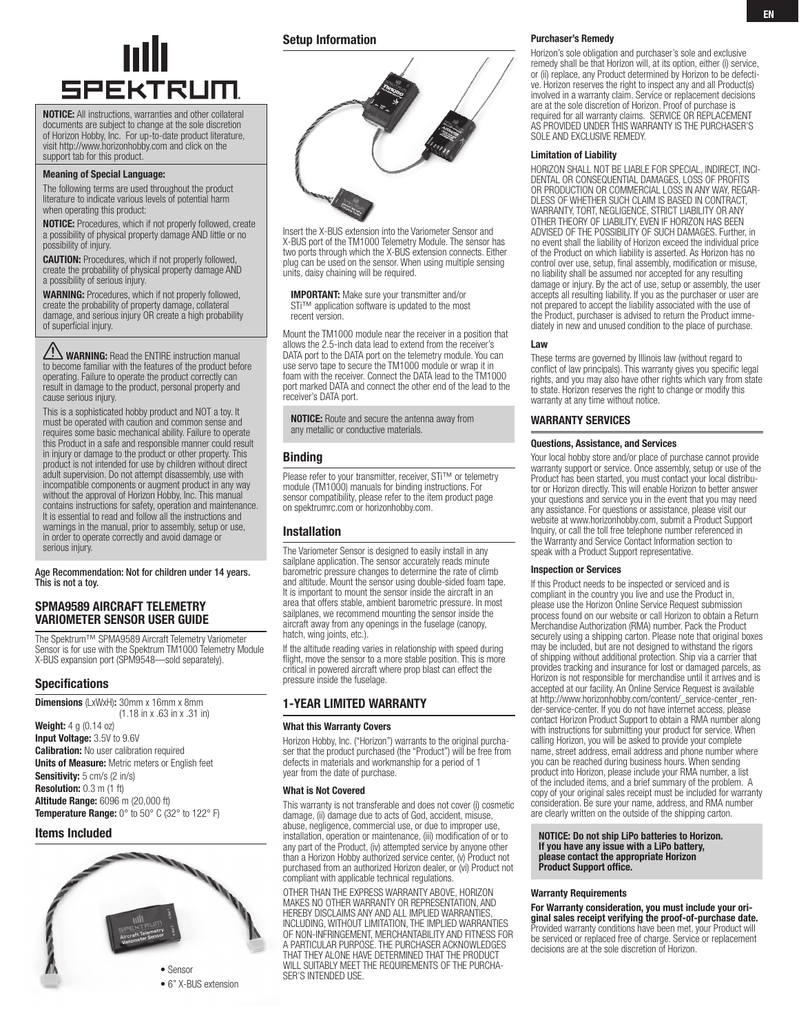

NOTICE: All instructions, warranties and other collateral documents are subject to change at the sole discretion of Horizon Hobby, Inc. For up-to-date product literature, visit http://www.horizonhobby.com and click on the support tab for this product.

#### Meaning of Special Language:

The following terms are used throughout the product literature to indicate various levels of potential harm when operating this product:

NOTICE: Procedures, which if not properly followed, create a possibility of physical property damage AND little or no possibility of injury.

CAUTION: Procedures, which if not properly followed, create the probability of physical property damage AND a possibility of serious injury.

WARNING: Procedures, which if not properly followed, create the probability of property damage, collateral damage, and serious injury OR create a high probability of superficial injury.

WARNING: Read the ENTIRE instruction manual to become familiar with the features of the product before operating. Failure to operate the product correctly can result in damage to the product, personal property and cause serious injury.

This is a sophisticated hobby product and NOT a toy. It must be operated with caution and common sense and requires some basic mechanical ability. Failure to operate this Product in a safe and responsible manner could result in injury or damage to the product or other property. This product is not intended for use by children without direct adult supervision. Do not attempt disassembly, use with incompatible components or augment product in any way without the approval of Horizon Hobby, Inc. This manual contains instructions for safety, operation and maintenance. It is essential to read and follow all the instructions and warnings in the manual, prior to assembly, setup or use, in order to operate correctly and avoid damage or serious injury.

Age Recommendation: Not for children under 14 years. This is not a toy.

## SPMA9589 AIRCRAFT TELEMETRY Variometer sensor User Guide

The Spektrum™ SPMA9589 Aircraft Telemetry Variometer Sensor is for use with the Spektrum TM1000 Telemetry Module X-BUS expansion port (SPM9548—sold separately).

# Specifications

Dimensions (LxWxH): 30mm x 16mm x 8mm (1.18 in x .63 in x .31 in)

Weight: 4 g (0.14 oz) Input Voltage: 3.5V to 9.6V **Calibration:** No user calibration required Units of Measure: Metric meters or English feet Sensitivity: 5 cm/s (2 in/s) Resolution: 0.3 m (1 ft) Altitude Range: 6096 m (20,000 ft) Temperature Range: 0° to 50° C (32° to 122° F)

# Items Included



# Setup Information



Insert the X-BUS extension into the Variometer Sensor and X-BUS port of the TM1000 Telemetry Module. The sensor has two ports through which the X-BUS extension connects. Either plug can be used on the sensor. When using multiple sensing units, daisy chaining will be required.

IMPORTANT: Make sure your transmitter and/or STi™ application software is updated to the most recent version.

Mount the TM1000 module near the receiver in a position that allows the 2.5-inch data lead to extend from the receiver's DATA port to the DATA port on the telemetry module. You can use servo tape to secure the TM1000 module or wrap it in foam with the receiver. Connect the DATA lead to the TM1000 port marked DATA and connect the other end of the lead to the receiver's DATA port.

NOTICE: Route and secure the antenna away from any metallic or conductive materials.

## **Binding**

Please refer to your transmitter, receiver, STi™ or telemetry module (TM1000) manuals for binding instructions. For sensor compatibility, please refer to the item product page on spektrumrc.com or horizonhobby.com.

# Installation

The Variometer Sensor is designed to easily install in any sailplane application. The sensor accurately reads minute barometric pressure changes to determine the rate of climb and altitude. Mount the sensor using double-sided foam tape. It is important to mount the sensor inside the aircraft in an area that offers stable, ambient barometric pressure. In most sailplanes, we recommend mounting the sensor inside the aircraft away from any openings in the fuselage (canopy, hatch, wing joints, etc.).

If the altitude reading varies in relationship with speed during flight, move the sensor to a more stable position. This is more critical in powered aircraft where prop blast can effect the pressure inside the fuselage.

## 1-year limited warranty

#### What this Warranty Covers

Horizon Hobby, Inc. ("Horizon") warrants to the original purchaser that the product purchased (the "Product") will be free from defects in materials and workmanship for a period of 1 year from the date of purchase.

#### What is Not Covered

This warranty is not transferable and does not cover (i) cosmetic damage, (ii) damage due to acts of God, accident, misuse, abuse, negligence, commercial use, or due to improper use, installation, operation or maintenance, (iii) modification of or to any part of the Product, (iv) attempted service by anyone other than a Horizon Hobby authorized service center, (v) Product not purchased from an authorized Horizon dealer, or (vi) Product not compliant with applicable technical regulations.

OTHER THAN THE EXPRESS WARRANTY ABOVE, HORIZON MAKES NO OTHER WARRANTY OR REPRESENTATION, AND HEREBY DISCLAIMS ANY AND ALL IMPLIED WARRANTIES, INCLUDING, WITHOUT LIMITATION, THE IMPLIED WARRANTIES OF NON-INFRINGEMENT, MERCHANTABILITY AND FITNESS FOR A PARTICULAR PURPOSE. THE PURCHASER ACKNOWLEDGES THAT THEY ALONE HAVE DETERMINED THAT THE PRODUCT WILL SUITABLY MEET THE REQUIREMENTS OF THE PURCHA-SER'S INTENDED USE.

#### Purchaser's Remedy

Horizon's sole obligation and purchaser's sole and exclusive remedy shall be that Horizon will, at its option, either (i) service, or (ii) replace, any Product determined by Horizon to be defective. Horizon reserves the right to inspect any and all Product(s) involved in a warranty claim. Service or replacement decisions are at the sole discretion of Horizon. Proof of purchase is required for all warranty claims. SERVICE OR REPLACEMENT AS PROVIDED UNDER THIS WARRANTY IS THE PURCHASER'S SOLE AND EXCLUSIVE REMEDY.

#### Limitation of Liability

HORIZON SHALL NOT BE LIABLE FOR SPECIAL, INDIRECT, INCI-DENTAL OR CONSEQUENTIAL DAMAGES, LOSS OF PROFITS OR PRODUCTION OR COMMERCIAL LOSS IN ANY WAY, REGAR-DLESS OF WHETHER SUCH CLAIM IS BASED IN CONTRACT, WARRANTY, TORT, NEGLIGENCE, STRICT LIABILITY OR ANY OTHER THEORY OF LIABILITY, EVEN IF HORIZON HAS BEEN ADVISED OF THE POSSIBILITY OF SUCH DAMAGES. Further, in no event shall the liability of Horizon exceed the individual price of the Product on which liability is asserted. As Horizon has no control over use, setup, final assembly, modification or misuse, no liability shall be assumed nor accepted for any resulting damage or injury. By the act of use, setup or assembly, the user accepts all resulting liability. If you as the purchaser or user are not prepared to accept the liability associated with the use of the Product, purchaser is advised to return the Product immediately in new and unused condition to the place of purchase.

## Law

These terms are governed by Illinois law (without regard to conflict of law principals). This warranty gives you specific legal rights, and you may also have other rights which vary from state to state. Horizon reserves the right to change or modify this warranty at any time without notice.

## WARRANTY SERVICES

#### Questions, Assistance, and Services

Your local hobby store and/or place of purchase cannot provide warranty support or service. Once assembly, setup or use of the Product has been started, you must contact your local distributor or Horizon directly. This will enable Horizon to better answer your questions and service you in the event that you may need any assistance. For questions or assistance, please visit our website at www.horizonhobby.com, submit a Product Support Inquiry, or call the toll free telephone number referenced in the Warranty and Service Contact Information section to speak with a Product Support representative.

#### Inspection or Services

If this Product needs to be inspected or serviced and is compliant in the country you live and use the Product in, please use the Horizon Online Service Request submission process found on our website or call Horizon to obtain a Return Merchandise Authorization (RMA) number. Pack the Product securely using a shipping carton. Please note that original boxes may be included, but are not designed to withstand the rigors of shipping without additional protection. Ship via a carrier that provides tracking and insurance for lost or damaged parcels, as Horizon is not responsible for merchandise until it arrives and is accepted at our facility. An Online Service Request is available at http://www.horizonhobby.com/content/\_service-center\_render-service-center. If you do not have internet access, please contact Horizon Product Support to obtain a RMA number along with instructions for submitting your product for service. When calling Horizon, you will be asked to provide your complete name, street address, email address and phone number where you can be reached during business hours. When sending product into Horizon, please include your RMA number, a list of the included items, and a brief summary of the problem. A copy of your original sales receipt must be included for warranty consideration. Be sure your name, address, and RMA number are clearly written on the outside of the shipping carton.

NOTICE: Do not ship LiPo batteries to Horizon. If you have any issue with a LiPo battery, please contact the appropriate Horizon Product Support office.

## Warranty Requirements

For Warranty consideration, you must include your original sales receipt verifying the proof-of-purchase date. Provided warranty conditions have been met, your Product will be serviced or replaced free of charge. Service or replacement decisions are at the sole discretion of Horizon.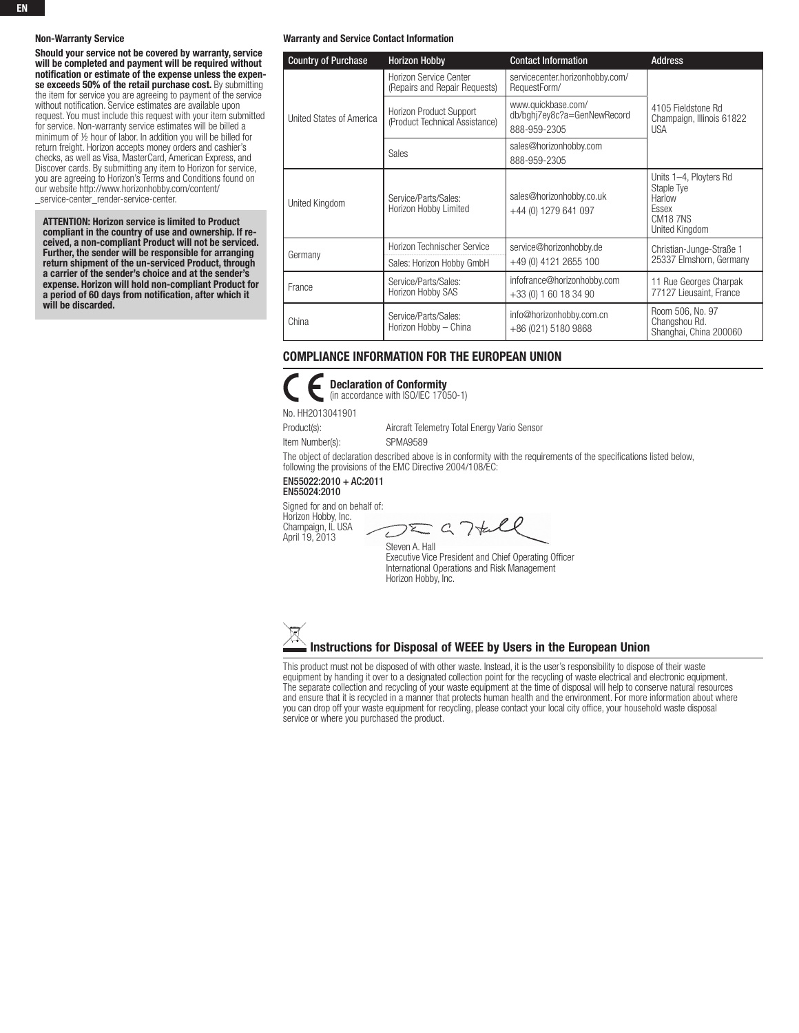#### Non-Warranty Service

Should your service not be covered by warranty, service will be completed and payment will be required without notification or estimate of the expense unless the expense exceeds 50% of the retail purchase cost. By submitting the item for service you are agreeing to payment of the service without notification. Service estimates are available upon request. You must include this request with your item submitted for service. Non-warranty service estimates will be billed a minimum of ½ hour of labor. In addition you will be billed for return freight. Horizon accepts money orders and cashier's checks, as well as Visa, MasterCard, American Express, and Discover cards. By submitting any item to Horizon for service, you are agreeing to Horizon's Terms and Conditions found on our website http://www.horizonhobby.com/content/ \_service-center\_render-service-center.

ATTENTION: Horizon service is limited to Product compliant in the country of use and ownership. If received, a non-compliant Product will not be serviced. Further, the sender will be responsible for arranging return shipment of the un-serviced Product, through a carrier of the sender's choice and at the sender's expense. Horizon will hold non-compliant Product for a period of 60 days from notification, after which it will be discarded.

#### Warranty and Service Contact Information

| <b>Country of Purchase</b> | <b>Horizon Hobby</b>                                      | <b>Contact Information</b>                                        | <b>Address</b>                                                                                    |
|----------------------------|-----------------------------------------------------------|-------------------------------------------------------------------|---------------------------------------------------------------------------------------------------|
| United States of America   | Horizon Service Center<br>(Repairs and Repair Requests)   | servicecenter.horizonhobby.com/<br>RequestForm/                   |                                                                                                   |
|                            | Horizon Product Support<br>(Product Technical Assistance) | www.quickbase.com/<br>db/bghj7ey8c?a=GenNewRecord<br>888-959-2305 | 4105 Fieldstone Rd<br>Champaign, Illinois 61822<br><b>USA</b>                                     |
|                            | Sales                                                     | sales@horizonhobby.com<br>888-959-2305                            |                                                                                                   |
| United Kingdom             | Service/Parts/Sales:<br>Horizon Hobby Limited             | sales@horizonhobby.co.uk<br>+44 (0) 1279 641 097                  | Units 1-4, Ployters Rd<br>Staple Tye<br>Harlow<br>Essex<br>CM <sub>18</sub> 7NS<br>United Kingdom |
| Germany                    | Horizon Technischer Service                               | service@horizonhobby.de<br>+49 (0) 4121 2655 100                  | Christian-Junge-Straße 1<br>25337 Elmshorn, Germany                                               |
|                            | Sales: Horizon Hobby GmbH                                 |                                                                   |                                                                                                   |
| France                     | Service/Parts/Sales:<br>Horizon Hobby SAS                 | infofrance@horizonhobby.com<br>+33 (0) 1 60 18 34 90              | 11 Rue Georges Charpak<br>77127 Lieusaint, France                                                 |
| China                      | Service/Parts/Sales:<br>Horizon Hobby - China             | info@horizonhobby.com.cn<br>+86 (021) 5180 9868                   | Room 506, No. 97<br>Changshou Rd.<br>Shanghai, China 200060                                       |

# Compliance Information for the European Union



Declaration of Conformity (in accordance with ISO/IEC 17050-1)

No. HH2013041901

Product(s): Aircraft Telemetry Total Energy Vario Sensor Item Number(s): SPMA9589

The object of declaration described above is in conformity with the requirements of the specifications listed below, following the provisions of the EMC Directive 2004/108/EC:

EN55022:2010 + AC:2011 EN55024:2010

Signed for and on behalf of: Horizon Hobby, Inc. Champaign, IL USA

April 19, 2013

 $292$ 

Steven A. Hall Executive Vice President and Chief Operating Officer International Operations and Risk Management Horizon Hobby, Inc.



This product must not be disposed of with other waste. Instead, it is the user's responsibility to dispose of their waste equipment by handing it over to a designated collection point for the recycling of waste electrical and electronic equipment. The separate collection and recycling of your waste equipment at the time of disposal will help to conserve natural resources and ensure that it is recycled in a manner that protects human health and the environment. For more information about where you can drop off your waste equipment for recycling, please contact your local city office, your household waste disposal service or where you purchased the product.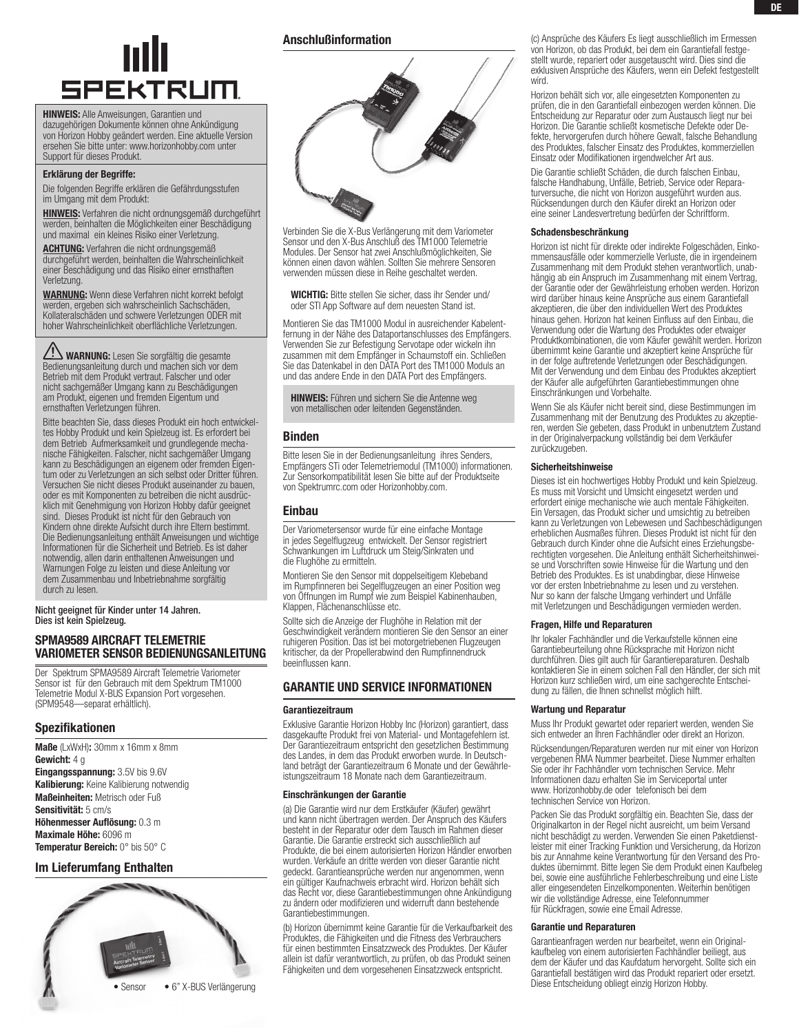# **SPEKTRUM**

HINWEIS: Alle Anweisungen, Garantien und dazugehörigen Dokumente können ohne Ankündigung von Horizon Hobby geändert werden. Eine aktuelle Version ersehen Sie bitte unter: www.horizonhobby.com unter Support für dieses Produkt.

#### Erklärung der Begriffe:

Die folgenden Begriffe erklären die Gefährdungsstufen im Umgang mit dem Produkt:

Hinweis: Verfahren die nicht ordnungsgemäß durchgeführt werden, beinhalten die Möglichkeiten einer Beschädigung und maximal ein kleines Risiko einer Verletzung.

ACHTUNG: Verfahren die nicht ordnungsgemäß durchgeführt werden, beinhalten die Wahrscheinlichkeit einer Beschädigung und das Risiko einer ernsthaften Verletzung.

WARNUNG: Wenn diese Verfahren nicht korrekt befolgt werden, ergeben sich wahrscheinlich Sachschäden, Kollateralschäden und schwere Verletzungen ODER mit hoher Wahrscheinlichkeit oberflächliche Verletzungen.

**ZEN WARNUNG:** Lesen Sie sorgfältig die gesamte<br>Bedienungsanleitung durch und machen sich vor dem Betrieb mit dem Produkt vertraut. Falscher und oder nicht sachgemäßer Umgang kann zu Beschädigungen am Produkt, eigenen und fremden Eigentum und ernsthaften Verletzungen führen.

Bitte beachten Sie, dass dieses Produkt ein hoch entwickeltes Hobby Produkt und kein Spielzeug ist. Es erfordert bei dem Betrieb Aufmerksamkeit und grundlegende mechanische Fähigkeiten. Falscher, nicht sachgemäßer Umgang kann zu Beschädigungen an eigenem oder fremden Eigentum oder zu Verletzungen an sich selbst oder Dritter führen. Versuchen Sie nicht dieses Produkt auseinander zu bauen, oder es mit Komponenten zu betreiben die nicht ausdrücklich mit Genehmigung von Horizon Hobby dafür geeignet sind. Dieses Produkt ist nicht für den Gebrauch von Kindern ohne direkte Aufsicht durch ihre Eltern bestimmt. Die Bedienungsanleitung enthält Anweisungen und wichtige Informationen für die Sicherheit und Betrieb. Es ist daher notwendig, allen darin enthaltenen Anweisungen und Warnungen Folge zu leisten und diese Anleitung vor dem Zusammenbau und Inbetriebnahme sorgfältig durch zu lesen.

Nicht geeignet für Kinder unter 14 Jahren. Dies ist kein Spielzeug.

# SPMA9589 AIRCRAFT TELEMETRIE Variometer Sensor Bedienungsanleitung

Der Spektrum SPMA9589 Aircraft Telemetrie Variometer Sensor ist für den Gebrauch mit dem Spektrum TM1000 Telemetrie Modul X-BUS Expansion Port vorgesehen. (SPM9548—separat erhältlich).

# Spezifikationen

Maße (LxWxH): 30mm x 16mm x 8mm Gewicht: 4 g Eingangsspannung: 3.5V bis 9.6V Kalibierung: Keine Kalibierung notwendig Maßeinheiten: Metrisch oder Fuß Sensitivität: 5 cm/s Höhenmesser Auflösung: 0.3 m Maximale Höhe: 6096 m Temperatur Bereich: 0° bis 50° C

Im Lieferumfang Enthalten



# Anschlußinformation



Verbinden Sie die X-Bus Verlängerung mit dem Variometer Sensor und den X-Bus Anschluß des TM1000 Telemetrie Modules. Der Sensor hat zwei Anschlußmöglichkeiten, Sie können einen davon wählen. Sollten Sie mehrere Sensoren verwenden müssen diese in Reihe geschaltet werden.

WICHTIG: Bitte stellen Sie sicher, dass ihr Sender und/ oder STI App Software auf dem neuesten Stand ist.

Montieren Sie das TM1000 Modul in ausreichender Kabelentfernung in der Nähe des Dataportanschlusses des Empfängers. Verwenden Sie zur Befestigung Servotape oder wickeln ihn zusammen mit dem Empfänger in Schaumstoff ein. Schließen Sie das Datenkabel in den DATA Port des TM1000 Moduls an und das andere Ende in den DATA Port des Empfängers.

**HINWEIS:** Führen und sichern Sie die Antenne weg von metallischen oder leitenden Gegenständen.

# Binden

Bitte lesen Sie in der Bedienungsanleitung ihres Senders, Empfängers STi oder Telemetriemodul (TM1000) informationen. Zur Sensorkompatibilität lesen Sie bitte auf der Produktseite von Spektrumrc.com oder Horizonhobby.com.

# Einbau

Der Variometersensor wurde für eine einfache Montage in jedes Segelflugzeug entwickelt. Der Sensor registriert Schwankungen im Luftdruck um Steig/Sinkraten und die Flughöhe zu ermitteln.

Montieren Sie den Sensor mit doppelseitigem Klebeband im Rumpfinneren bei Segelflugzeugen an einer Position weg von Öffnungen im Rumpf wie zum Beispiel Kabinenhauben, Klappen, Flächenanschlüsse etc.

Sollte sich die Anzeige der Flughöhe in Relation mit der Geschwindigkeit verändern montieren Sie den Sensor an einer ruhigeren Position. Das ist bei motorgetriebenen Flugzeugen kritischer, da der Propellerabwind den Rumpfinnendruck beeinflussen kann.

# garantie und service informationen

# Garantiezeitraum

Exklusive Garantie Horizon Hobby Inc (Horizon) garantiert, dass dasgekaufte Produkt frei von Material- und Montagefehlern ist. Der Garantiezeitraum entspricht den gesetzlichen Bestimmung des Landes, in dem das Produkt erworben wurde. In Deutschland beträgt der Garantiezeitraum 6 Monate und der Gewährleistungszeitraum 18 Monate nach dem Garantiezeitraum.

## Einschränkungen der Garantie

(a) Die Garantie wird nur dem Erstkäufer (Käufer) gewährt und kann nicht übertragen werden. Der Anspruch des Käufers besteht in der Reparatur oder dem Tausch im Rahmen dieser Garantie. Die Garantie erstreckt sich ausschließlich auf Produkte, die bei einem autorisierten Horizon Händler erworben wurden. Verkäufe an dritte werden von dieser Garantie nicht gedeckt. Garantieansprüche werden nur angenommen, wenn ein gültiger Kaufnachweis erbracht wird. Horizon behält sich das Recht vor, diese Garantiebestimmungen ohne Ankündigung zu ändern oder modifizieren und widerruft dann bestehende Garantiebestimmungen.

(b) Horizon übernimmt keine Garantie für die Verkaufbarkeit des Produktes, die Fähigkeiten und die Fitness des Verbrauchers für einen bestimmten Einsatzzweck des Produktes. Der Käufer allein ist dafür verantwortlich, zu prüfen, ob das Produkt seinen Fähigkeiten und dem vorgesehenen Einsatzzweck entspricht.

(c) Ansprüche des Käufers Es liegt ausschließlich im Ermessen von Horizon, ob das Produkt, bei dem ein Garantiefall festgestellt wurde, repariert oder ausgetauscht wird. Dies sind die exklusiven Ansprüche des Käufers, wenn ein Defekt festgestellt wird.

Horizon behält sich vor, alle eingesetzten Komponenten zu prüfen, die in den Garantiefall einbezogen werden können. Die Entscheidung zur Reparatur oder zum Austausch liegt nur bei Horizon. Die Garantie schließt kosmetische Defekte oder Defekte, hervorgerufen durch höhere Gewalt, falsche Behandlung des Produktes, falscher Einsatz des Produktes, kommerziellen Einsatz oder Modifikationen irgendwelcher Art aus.

Die Garantie schließt Schäden, die durch falschen Einbau, falsche Handhabung, Unfälle, Betrieb, Service oder Reparaturversuche, die nicht von Horizon ausgeführt wurden aus. Rücksendungen durch den Käufer direkt an Horizon oder eine seiner Landesvertretung bedürfen der Schriftform.

# Schadensbeschränkung

Horizon ist nicht für direkte oder indirekte Folgeschäden, Einkommensausfälle oder kommerzielle Verluste, die in irgendeinem Zusammenhang mit dem Produkt stehen verantwortlich, unabhängig ab ein Anspruch im Zusammenhang mit einem Vertrag, der Garantie oder der Gewährleistung erhoben werden. Horizon wird darüber hinaus keine Ansprüche aus einem Garantiefall akzeptieren, die über den individuellen Wert des Produktes hinaus gehen. Horizon hat keinen Einfluss auf den Einbau, die Verwendung oder die Wartung des Produktes oder etwaiger Produktkombinationen, die vom Käufer gewählt werden. Horizon übernimmt keine Garantie und akzeptiert keine Ansprüche für in der folge auftretende Verletzungen oder Beschädigungen. Mit der Verwendung und dem Einbau des Produktes akzeptiert der Käufer alle aufgeführten Garantiebestimmungen ohne Einschränkungen und Vorbehalte.

Wenn Sie als Käufer nicht bereit sind, diese Bestimmungen im Zusammenhang mit der Benutzung des Produktes zu akzeptieren, werden Sie gebeten, dass Produkt in unbenutztem Zustand in der Originalverpackung vollständig bei dem Verkäufer zurückzugeben.

#### Sicherheitshinweise

Dieses ist ein hochwertiges Hobby Produkt und kein Spielzeug. Es muss mit Vorsicht und Umsicht eingesetzt werden und erfordert einige mechanische wie auch mentale Fähigkeiten. Ein Versagen, das Produkt sicher und umsichtig zu betreiben kann zu Verletzungen von Lebewesen und Sachbeschädigungen erheblichen Ausmaßes führen. Dieses Produkt ist nicht für den Gebrauch durch Kinder ohne die Aufsicht eines Erziehungsberechtigten vorgesehen. Die Anleitung enthält Sicherheitshinweise und Vorschriften sowie Hinweise für die Wartung und den Betrieb des Produktes. Es ist unabdingbar, diese Hinweise vor der ersten Inbetriebnahme zu lesen und zu verstehen. Nur so kann der falsche Umgang verhindert und Unfälle mit Verletzungen und Beschädigungen vermieden werden.

## Fragen, Hilfe und Reparaturen

Ihr lokaler Fachhändler und die Verkaufstelle können eine Garantiebeurteilung ohne Rücksprache mit Horizon nicht durchführen. Dies gilt auch für Garantiereparaturen. Deshalb kontaktieren Sie in einem solchen Fall den Händler, der sich mit Horizon kurz schließen wird, um eine sachgerechte Entscheidung zu fällen, die Ihnen schnellst möglich hilft.

#### Wartung und Reparatur

Muss Ihr Produkt gewartet oder repariert werden, wenden Sie sich entweder an Ihren Fachhändler oder direkt an Horizon.

Rücksendungen/Reparaturen werden nur mit einer von Horizon vergebenen RMA Nummer bearbeitet. Diese Nummer erhalten Sie oder ihr Fachhändler vom technischen Service. Mehr Informationen dazu erhalten Sie im Serviceportal unter www. Horizonhobby.de oder telefonisch bei dem technischen Service von Horizon.

Packen Sie das Produkt sorgfältig ein. Beachten Sie, dass der Originalkarton in der Regel nicht ausreicht, um beim Versand nicht beschädigt zu werden. Verwenden Sie einen Paketdienstleister mit einer Tracking Funktion und Versicherung, da Horizon bis zur Annahme keine Verantwortung für den Versand des Produktes übernimmt. Bitte legen Sie dem Produkt einen Kaufbeleg bei, sowie eine ausführliche Fehlerbeschreibung und eine Liste aller eingesendeten Einzelkomponenten. Weiterhin benötigen wir die vollständige Adresse, eine Telefonnummer für Rückfragen, sowie eine Email Adresse.

## Garantie und Reparaturen

Garantieanfragen werden nur bearbeitet, wenn ein Originalkaufbeleg von einem autorisierten Fachhändler beiliegt, aus dem der Käufer und das Kaufdatum hervorgeht. Sollte sich ein Garantiefall bestätigen wird das Produkt repariert oder ersetzt. Diese Entscheidung obliegt einzig Horizon Hobby.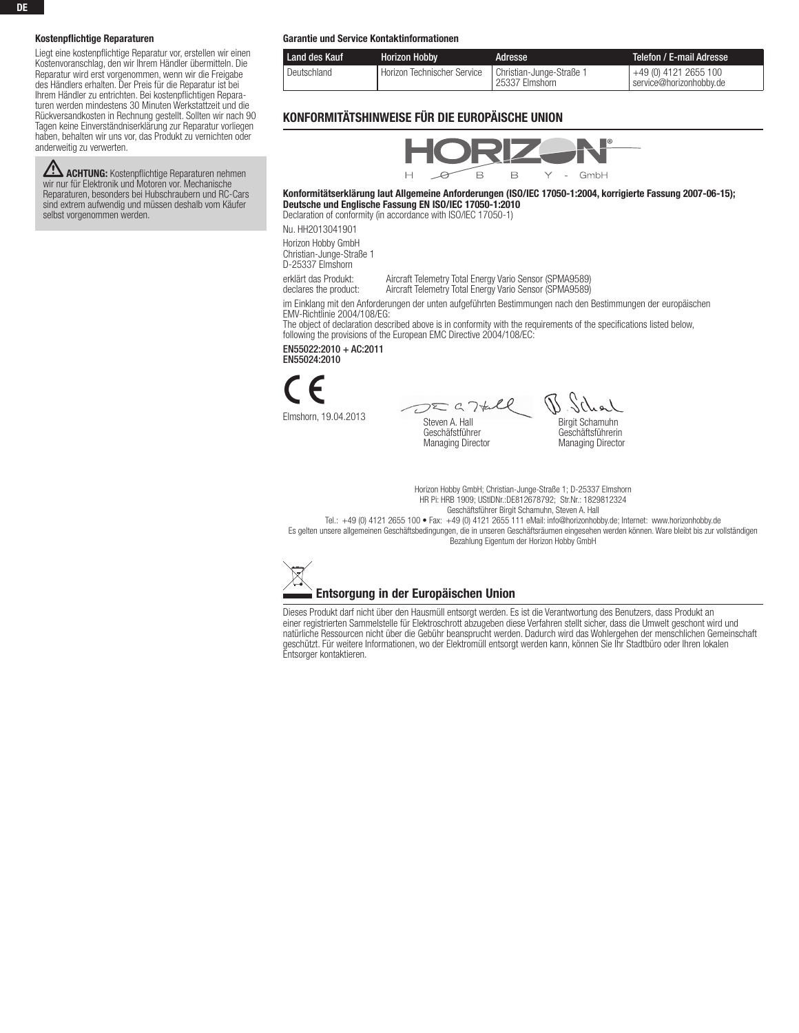## Kostenpflichtige Reparaturen

Liegt eine kostenpflichtige Reparatur vor, erstellen wir einen Kostenvoranschlag, den wir Ihrem Händler übermitteln. Die Reparatur wird erst vorgenommen, wenn wir die Freigabe des Händlers erhalten. Der Preis für die Reparatur ist bei Ihrem Händler zu entrichten. Bei kostenpflichtigen Reparaturen werden mindestens 30 Minuten Werkstattzeit und die Rückversandkosten in Rechnung gestellt. Sollten wir nach 90 Tagen keine Einverständniserklärung zur Reparatur vorliegen haben, behalten wir uns vor, das Produkt zu vernichten oder anderweitig zu verwerten.

**ZEN ACHTUNG:** Kostenpflichtige Reparaturen nehmen<br>wir nur für Elektronik und Motoren vor. Mechanische Reparaturen, besonders bei Hubschraubern und RC-Cars sind extrem aufwendig und müssen deshalb vom Käufer selbst vorgenommen werden.

#### Garantie und Service Kontaktinformationen

| Land des Kauf | <b>Horizon Hobby</b>                                   | Adresse        | Telefon / E-mail Adresse '                       |
|---------------|--------------------------------------------------------|----------------|--------------------------------------------------|
| Deutschland   | Horizon Technischer Service   Christian-Junge-Straße 1 | 25337 Elmshorn | +49 (0) 4121 2655 100<br>service@horizonhobbv.de |

# Konformitätshinweise für die Europäische Union



Konformitätserklärung laut Allgemeine Anforderungen (ISO/IEC 17050-1:2004, korrigierte Fassung 2007-06-15); Deutsche und Englische Fassung EN ISO/IEC 17050-1:2010 Declaration of conformity (in accordance with ISO/IEC 17050-1)

Nu. HH2013041901

Horizon Hobby GmbH Christian-Junge-Straße 1 D-25337 Elmshorn

erklärt das Produkt: Aircraft Telemetry Total Energy Vario Sensor (SPMA9589)<br>declares the product: Aircraft Telemetry Total Energy Vario Sensor (SPMA9589) Aircraft Telemetry Total Energy Vario Sensor (SPMA9589)

im Einklang mit den Anforderungen der unten aufgeführten Bestimmungen nach den Bestimmungen der europäischen EMV-Richtlinie 2004/108/EG:

The object of declaration described above is in conformity with the requirements of the specifications listed below, following the provisions of the European EMC Directive 2004/108/EC:

EN55022:2010 + AC:2011 EN55024:2010



Elmshorn, 19.04.2013

 $DZG74l$ Steven A. Hall Geschäfstführer Managing Director

Birgit Schamuhn Geschäftsführerin

Managing Director

Horizon Hobby GmbH; Christian-Junge-Straße 1; D-25337 Elmshorn HR Pi: HRB 1909; UStIDNr.:DE812678792; Str.Nr.: 1829812324

Geschäftsführer Birgit Schamuhn, Steven A. Hall

Tel.: +49 (0) 4121 2655 100 • Fax: +49 (0) 4121 2655 111 eMail: info@horizonhobby.de; Internet: www.horizonhobby.de Es gelten unsere allgemeinen Geschäftsbedingungen, die in unseren Geschäftsräumen eingesehen werden können. Ware bleibt bis zur vollständigen Bezahlung Eigentum der Horizon Hobby GmbH



Dieses Produkt darf nicht über den Hausmüll entsorgt werden. Es ist die Verantwortung des Benutzers, dass Produkt an einer registrierten Sammelstelle für Elektroschrott abzugeben diese Verfahren stellt sicher, dass die Umwelt geschont wird und natürliche Ressourcen nicht über die Gebühr beansprucht werden. Dadurch wird das Wohlergehen der menschlichen Gemeinschaft geschützt. Für weitere Informationen, wo der Elektromüll entsorgt werden kann, können Sie Ihr Stadtbüro oder Ihren lokalen Entsorger kontaktieren.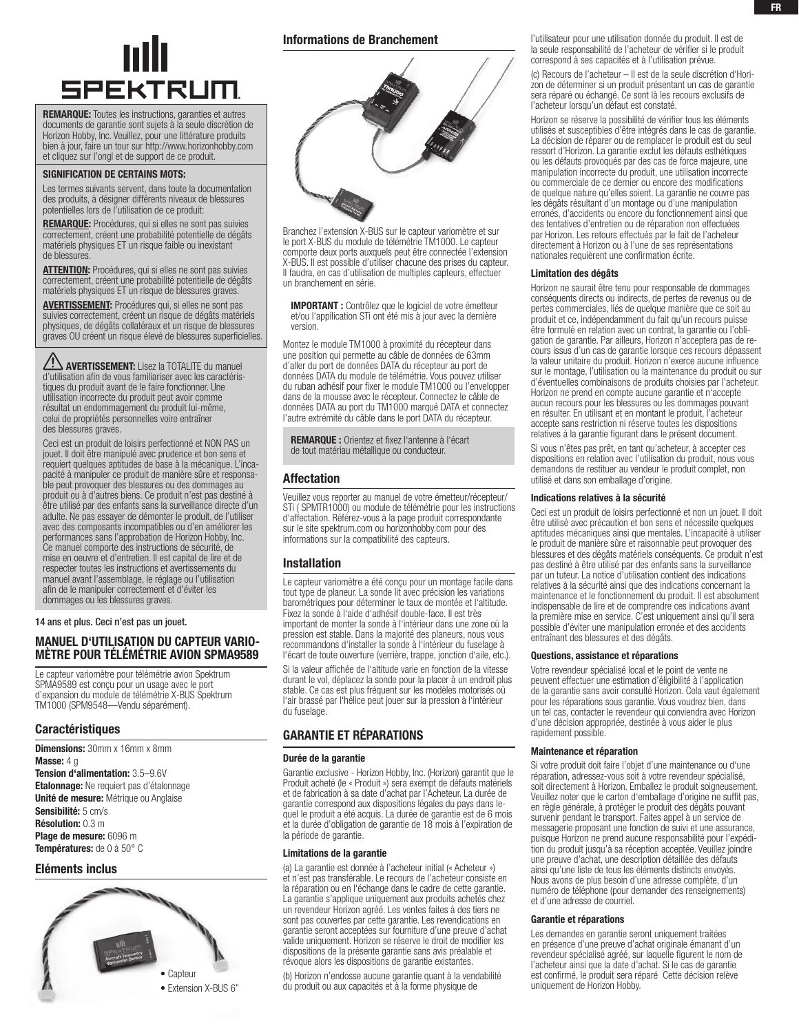

REMARQUE: Toutes les instructions, garanties et autres documents de garantie sont sujets à la seule discrétion de Horizon Hobby, Inc. Veuillez, pour une littérature produits bien à jour, faire un tour sur http://www.horizonhobby.com et cliquez sur l'ongl et de support de ce produit.

#### SIGNIFICATION DE CERTAINS MOTS:

Les termes suivants servent, dans toute la documentation des produits, à désigner différents niveaux de blessures potentielles lors de l'utilisation de ce produit:

REMARQUE: Procédures, qui si elles ne sont pas suivies correctement, créent une probabilité potentielle de dégâts matériels physiques ET un risque faible ou inexistant de blessures.

ATTENTION: Procédures, qui si elles ne sont pas suivies correctement, créent une probabilité potentielle de dégâts matériels physiques ET un risque de blessures graves.

**AVERTISSEMENT:** Procédures qui, si elles ne sont pas suivies correctement, créent un risque de dégâts matériels physiques, de dégâts collatéraux et un risque de blessures graves OU créent un risque élevé de blessures superficielles.

AUERTISSEMENT: Lisez la TOTALITE du manuel d'utilisation afin de vous familiariser avec les caractéristiques du produit avant de le faire fonctionner. Une utilisation incorrecte du produit peut avoir comme résultat un endommagement du produit lui-même, celui de propriétés personnelles voire entraîner des blessures graves.

Ceci est un produit de loisirs perfectionné et NON PAS un jouet. Il doit être manipulé avec prudence et bon sens et requiert quelques aptitudes de base à la mécanique. L'incapacité à manipuler ce produit de manière sûre et responsable peut provoquer des blessures ou des dommages au produit ou à d'autres biens. Ce produit n'est pas destiné à être utilisé par des enfants sans la surveillance directe d'un adulte. Ne pas essayer de démonter le produit, de l'utiliser avec des composants incompatibles ou d'en améliorer les performances sans l'approbation de Horizon Hobby, Inc. Ce manuel comporte des instructions de sécurité, de mise en oeuvre et d'entretien. Il est capital de lire et de respecter toutes les instructions et avertissements du manuel avant l'assemblage, le réglage ou l'utilisation afin de le manipuler correctement et d'éviter les dommages ou les blessures graves.

14 ans et plus. Ceci n'est pas un jouet.

# Manuel d'utilisation du capteur variomètre pour télémétrie avion SPMA9589

Le capteur variomètre pour télémétrie avion Spektrum SPMA9589 est conçu pour un usage avec le port d'expansion du module de télémétrie X-BUS Spektrum TM1000 (SPM9548—Vendu séparément).

## **Caractéristiques**

Dimensions: 30mm x 16mm x 8mm Masse: 4 g Tension d'alimentation: 3.5–9.6V Etalonnage: Ne requiert pas d'étalonnage Unité de mesure: Métrique ou Anglaise Sensibilité: 5 cm/s Résolution: 0.3 m Plage de mesure: 6096 m Températures: de 0 à 50° C

## Eléments inclus



## Informations de Branchement



Branchez l'extension X-BUS sur le capteur variomètre et sur le port X-BUS du module de télémétrie TM1000. Le capteur comporte deux ports auxquels peut être connectée l'extension X-BUS. Il est possible d'utiliser chacune des prises du capteur. Il faudra, en cas d'utilisation de multiples capteurs, effectuer un branchement en série.

IMPORTANT : Contrôlez que le logiciel de votre émetteur et/ou l'appilication STi ont été mis à jour avec la dernière version.

Montez le module TM1000 à proximité du récepteur dans une position qui permette au câble de données de 63mm d'aller du port de données DATA du récepteur au port de données DATA du module de télémétrie. Vous pouvez utiliser du ruban adhésif pour fixer le module TM1000 ou l'envelopper dans de la mousse avec le récepteur. Connectez le câble de données DATA au port du TM1000 marqué DATA et connectez l'autre extrémité du câble dans le port DATA du récepteur.

REMARQUE : Orientez et fixez l'antenne à l'écart de tout matériau métallique ou conducteur.

## Affectation

Veuillez vous reporter au manuel de votre émetteur/récepteur/ STi ( SPMTR1000) ou module de télémétrie pour les instructions d'affectation. Référez-vous à la page produit correspondante sur le site spektrum.com ou horizonhobby.com pour des informations sur la compatibilité des capteurs.

# Installation

Le capteur variomètre a été conçu pour un montage facile dans tout type de planeur. La sonde lit avec précision les variations barométriques pour déterminer le taux de montée et l'altitude. Fixez la sonde à l'aide d'adhésif double-face. Il est très important de monter la sonde à l'intérieur dans une zone où la pression est stable. Dans la majorité des planeurs, nous vous recommandons d'installer la sonde à l'intérieur du fuselage à l'écart de toute ouverture (verrière, trappe, jonction d'aile, etc.).

Si la valeur affichée de l'altitude varie en fonction de la vitesse durant le vol, déplacez la sonde pour la placer à un endroit plus stable. Ce cas est plus fréquent sur les modèles motorisés où l'air brassé par l'hélice peut jouer sur la pression à l'intérieur du fuselage.

# garantie et rÉparations

#### Durée de la garantie

Garantie exclusive - Horizon Hobby, Inc. (Horizon) garantit que le Produit acheté (le « Produit ») sera exempt de défauts matériels et de fabrication à sa date d'achat par l'Acheteur. La durée de garantie correspond aux dispositions légales du pays dans lequel le produit a été acquis. La durée de garantie est de 6 mois et la durée d'obligation de garantie de 18 mois à l'expiration de la période de garantie.

## Limitations de la garantie

(a) La garantie est donnée à l'acheteur initial (« Acheteur ») et n'est pas transférable. Le recours de l'acheteur consiste en la réparation ou en l'échange dans le cadre de cette garantie. La garantie s'applique uniquement aux produits achetés chez un revendeur Horizon agréé. Les ventes faites à des tiers ne sont pas couvertes par cette garantie. Les revendications en garantie seront acceptées sur fourniture d'une preuve d'achat valide uniquement. Horizon se réserve le droit de modifier les dispositions de la présente garantie sans avis préalable et révoque alors les dispositions de garantie existantes.

(b) Horizon n'endosse aucune garantie quant à la vendabilité du produit ou aux capacités et à la forme physique de

l'utilisateur pour une utilisation donnée du produit. Il est de la seule responsabilité de l'acheteur de vérifier si le produit correspond à ses capacités et à l'utilisation prévue.

(c) Recours de l'acheteur – Il est de la seule discrétion d'Horizon de déterminer si un produit présentant un cas de garantie sera réparé ou échangé. Ce sont là les recours exclusifs de l'acheteur lorsqu'un défaut est constaté.

Horizon se réserve la possibilité de vérifier tous les éléments utilisés et susceptibles d'être intégrés dans le cas de garantie. La décision de réparer ou de remplacer le produit est du seul ressort d'Horizon. La garantie exclut les défauts esthétiques ou les défauts provoqués par des cas de force majeure, une manipulation incorrecte du produit, une utilisation incorrecte ou commerciale de ce dernier ou encore des modifications de quelque nature qu'elles soient. La garantie ne couvre pas les dégâts résultant d'un montage ou d'une manipulation erronés, d'accidents ou encore du fonctionnement ainsi que des tentatives d'entretien ou de réparation non effectuées par Horizon. Les retours effectués par le fait de l'acheteur directement à Horizon ou à l'une de ses représentations nationales requièrent une confirmation écrite.

#### Limitation des dégâts

Horizon ne saurait être tenu pour responsable de dommages conséquents directs ou indirects, de pertes de revenus ou de pertes commerciales, liés de quelque manière que ce soit au produit et ce, indépendamment du fait qu'un recours puisse être formulé en relation avec un contrat, la garantie ou l'obligation de garantie. Par ailleurs, Horizon n'acceptera pas de recours issus d'un cas de garantie lorsque ces recours dépassent la valeur unitaire du produit. Horizon n'exerce aucune influence sur le montage, l'utilisation ou la maintenance du produit ou sur d'éventuelles combinaisons de produits choisies par l'acheteur. Horizon ne prend en compte aucune garantie et n'accepte aucun recours pour les blessures ou les dommages pouvant en résulter. En utilisant et en montant le produit, l'acheteur accepte sans restriction ni réserve toutes les dispositions relatives à la garantie figurant dans le présent document.

Si vous n'êtes pas prêt, en tant qu'acheteur, à accepter ces dispositions en relation avec l'utilisation du produit, nous vous demandons de restituer au vendeur le produit complet, non utilisé et dans son emballage d'origine.

#### Indications relatives à la sécurité

Ceci est un produit de loisirs perfectionné et non un jouet. Il doit être utilisé avec précaution et bon sens et nécessite quelques aptitudes mécaniques ainsi que mentales. L'incapacité à utiliser le produit de manière sûre et raisonnable peut provoquer des blessures et des dégâts matériels conséquents. Ce produit n'est pas destiné à être utilisé par des enfants sans la surveillance par un tuteur. La notice d'utilisation contient des indications relatives à la sécurité ainsi que des indications concernant la maintenance et le fonctionnement du produit. Il est absolument indispensable de lire et de comprendre ces indications avant la première mise en service. C'est uniquement ainsi qu'il sera possible d'éviter une manipulation erronée et des accidents entraînant des blessures et des dégâts.

#### Questions, assistance et réparations

Votre revendeur spécialisé local et le point de vente ne peuvent effectuer une estimation d'éligibilité à l'application de la garantie sans avoir consulté Horizon. Cela vaut également pour les réparations sous garantie. Vous voudrez bien, dans un tel cas, contacter le revendeur qui conviendra avec Horizon d'une décision appropriée, destinée à vous aider le plus rapidement possible.

## Maintenance et réparation

Si votre produit doit faire l'objet d'une maintenance ou d'une réparation, adressez-vous soit à votre revendeur spécialisé, soit directement à Horizon. Emballez le produit soigneusement. Veuillez noter que le carton d'emballage d'origine ne suffit pas, en règle générale, à protéger le produit des dégâts pouvant survenir pendant le transport. Faites appel à un service de messagerie proposant une fonction de suivi et une assurance, puisque Horizon ne prend aucune responsabilité pour l'expédition du produit jusqu'à sa réception acceptée. Veuillez joindre une preuve d'achat, une description détaillée des défauts ainsi qu'une liste de tous les éléments distincts envoyés. Nous avons de plus besoin d'une adresse complète, d'un numéro de téléphone (pour demander des renseignements) et d'une adresse de courriel.

#### Garantie et réparations

Les demandes en garantie seront uniquement traitées en présence d'une preuve d'achat originale émanant d'un revendeur spécialisé agréé, sur laquelle figurent le nom de l'acheteur ainsi que la date d'achat. Si le cas de garantie est confirmé, le produit sera réparé Cette décision relève uniquement de Horizon Hobby.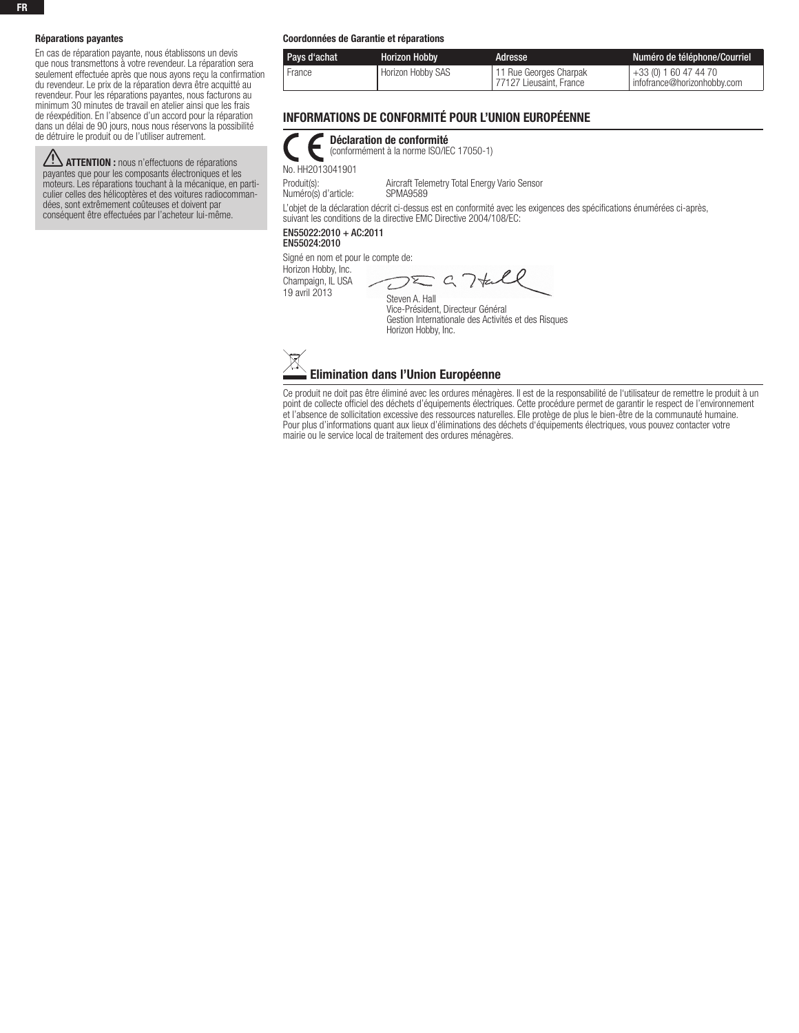#### Réparations payantes

En cas de réparation payante, nous établissons un devis que nous transmettons à votre revendeur. La réparation sera seulement effectuée après que nous ayons reçu la confirmation du revendeur. Le prix de la réparation devra être acquitté au revendeur. Pour les réparations payantes, nous facturons au minimum 30 minutes de travail en atelier ainsi que les frais de réexpédition. En l'absence d'un accord pour la réparation dans un délai de 90 jours, nous nous réservons la possibilité de détruire le produit ou de l'utiliser autrement.

**ATTENTION :** nous n'effectuons de réparations payantes que pour les composants électroniques et les moteurs. Les réparations touchant à la mécanique, en particulier celles des hélicoptères et des voitures radiocommandées, sont extrêmement coûteuses et doivent par conséquent être effectuées par l'acheteur lui-même.

#### Coordonnées de Garantie et réparations

| Pays d'achat | <b>Horizon Hobby</b> | Adresse                                           | Numéro de téléphone/Courriel                         |
|--------------|----------------------|---------------------------------------------------|------------------------------------------------------|
| France       | Horizon Hobby SAS    | 11 Rue Georges Charpak<br>77127 Lieusaint. France | +33 (0) 1 60 47 44 70<br>infofrance@horizonhobby.com |

# Informations de Conformité pour l'Union Européenne

|                  | Déclaration de conformité<br>(conformément à la norme ISO/IEC 17050-1) |  |
|------------------|------------------------------------------------------------------------|--|
| No. HH2013041901 |                                                                        |  |
|                  |                                                                        |  |

Produit(s): <br>
Numéro(s) d'article: 
SPMA9589<br>
SPMA9589

Numéro(s) d'article:

L'objet de la déclaration décrit ci-dessus est en conformité avec les exigences des spécifications énumérées ci-après, suivant les conditions de la directive EMC Directive 2004/108/EC:

# EN55022:2010 + AC:2011

EN55024:2010

Signé en nom et pour le compte de:

Horizon Hobby, Inc. Champaign, IL USA

19 avril 2013

 $\Sigma G$  7th  $\overline{C}$ Steven A. Hall

Vice-Président, Directeur Général Gestion Internationale des Activités et des Risques Horizon Hobby, Inc.



Ce produit ne doit pas être éliminé avec les ordures ménagères. Il est de la responsabilité de l'utilisateur de remettre le produit à un point de collecte officiel des déchets d'équipements électriques. Cette procédure permet de garantir le respect de l'environnement et l'absence de sollicitation excessive des ressources naturelles. Elle protège de plus le bien-être de la communauté humaine. Pour plus d'informations quant aux lieux d'éliminations des déchets d'équipements électriques, vous pouvez contacter votre mairie ou le service local de traitement des ordures ménagères.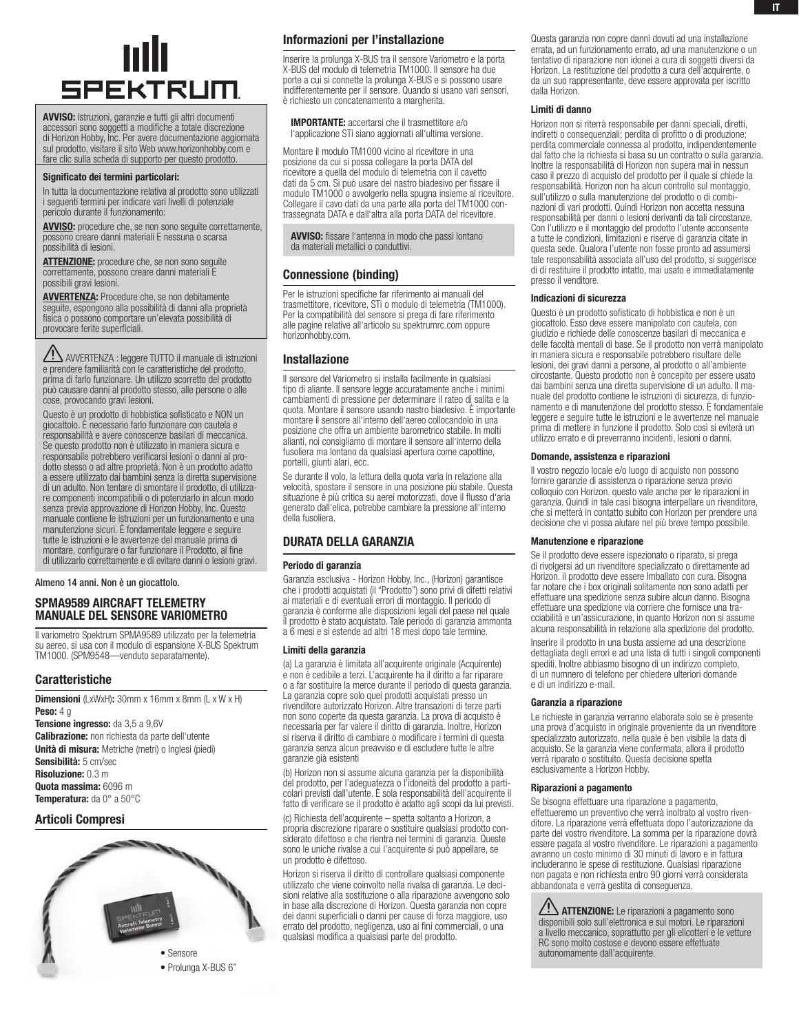

AVVISO: Istruzioni, garanzie e tutti gli altri documenti accessori sono soggetti a modifiche a totale discrezione di Horizon Hobby, Inc. Per avere documentazione aggiornata sul prodotto, visitare il sito Web www.horizonhobby.com e fare clic sulla scheda di supporto per questo prodotto.

#### Significato dei termini particolari:

In tutta la documentazione relativa al prodotto sono utilizzati i seguenti termini per indicare vari livelli di potenziale pericolo durante il funzionamento:

AVVISO: procedure che, se non sono seguite correttamente, possono creare danni materiali E nessuna o scarsa possibilità di lesioni.

ATTENZIONE: procedure che, se non sono seguite correttamente, possono creare danni materiali E possibili gravi lesioni.

AVVERTENZA: Procedure che, se non debitamente seguite, espongono alla possibilità di danni alla proprietà fisica o possono comportare un'elevata possibilità di provocare ferite superficiali.

AVVERTENZA : leggere TUTTO il manuale di istruzioni e prendere familiarità con le caratteristiche del prodotto, prima di farlo funzionare. Un utilizzo scorretto del prodotto può causare danni al prodotto stesso, alle persone o alle cose, provocando gravi lesioni.

Questo è un prodotto di hobbistica sofisticato e NON un giocattolo. È necessario farlo funzionare con cautela e responsabilità e avere conoscenze basilari di meccanica. Se questo prodotto non è utilizzato in maniera sicura e responsabile potrebbero verificarsi lesioni o danni al prodotto stesso o ad altre proprietà. Non è un prodotto adatto a essere utilizzato dai bambini senza la diretta supervisione di un adulto. Non tentare di smontare il prodotto, di utilizzare componenti incompatibili o di potenziarlo in alcun modo senza previa approvazione di Horizon Hobby, Inc. Questo manuale contiene le istruzioni per un funzionamento e una manutenzione sicuri. È fondamentale leggere e seguire tutte le istruzioni e le avvertenze del manuale prima di montare, configurare o far funzionare il Prodotto, al fine di utilizzarlo correttamente e di evitare danni o lesioni gravi.

Almeno 14 anni. Non è un giocattolo.

# SPMA9589 AIRCRAFT TELEMETRY MANUALE del sensore Variometro

Il variometro Spektrum SPMA9589 utilizzato per la telemetria su aereo, si usa con il modulo di espansione X-BUS Spektrum TM1000. (SPM9548—venduto separatamente).

# Caratteristiche

Dimensioni (LxWxH): 30mm x 16mm x 8mm (L x W x H) **Peso: 4 g** Tensione ingresso: da 3,5 a 9,6V Calibrazione: non richiesta da parte dell'utente Unità di misura: Metriche (metri) o Inglesi (piedi) Sensibilità: 5 cm/sec Risoluzione: 0.3 m

Quota massima: 6096 m Temperatura: da 0° a 50°C

# Articoli Compresi



Informazioni per l'installazione

Inserire la prolunga X-BUS tra il sensore Variometro e la porta X-BUS del modulo di telemetria TM1000. Il sensore ha due porte a cui si connette la prolunga X-BUS e si possono usare indifferentemente per il sensore. Quando si usano vari sensori, è richiesto un concatenamento a margherita.

IMPORTANTE: accertarsi che il trasmettitore e/o l'applicazione STi siano aggiornati all'ultima versione.

Montare il modulo TM1000 vicino al ricevitore in una posizione da cui si possa collegare la porta DATA del ricevitore a quella del modulo di telemetria con il cavetto dati da 5 cm. Si può usare del nastro biadesivo per fissare il modulo TM1000 o avvolgerlo nella spugna insieme al ricevitore. Collegare il cavo dati da una parte alla porta del TM1000 contrassegnata DATA e dall'altra alla porta DATA del ricevitore.

AVVISO: fissare l'antenna in modo che passi lontano da materiali metallici o conduttivi.

# Connessione (binding)

Per le istruzioni specifiche far riferimento ai manuali del trasmettitore, ricevitore, STi o modulo di telemetria (TM1000). Per la compatibilità del sensore si prega di fare riferimento alle pagine relative all'articolo su spektrumrc.com oppure horizonhobby.com.

## Installazione

Il sensore del Variometro si installa facilmente in qualsiasi tipo di aliante. Il sensore legge accuratamente anche i minimi cambiamenti di pressione per determinare il rateo di salita e la quota. Montare il sensore usando nastro biadesivo. È importante montare il sensore all'interno dell'aereo collocandolo in una posizione che offra un ambiente barometrico stabile. In molti alianti, noi consigliamo di montare il sensore all'interno della fusoliera ma lontano da qualsiasi apertura come capottine, portelli, giunti alari, ecc.

Se durante il volo, la lettura della quota varia in relazione alla velocità, spostare il sensore in una posizione più stabile. Questa situazione è più critica su aerei motorizzati, dove il flusso d'aria generato dall'elica, potrebbe cambiare la pressione all'interno della fusoliera.

# durata della garanzia

#### Periodo di garanzia

Garanzia esclusiva - Horizon Hobby, Inc., (Horizon) garantisce che i prodotti acquistati (il "Prodotto") sono privi di difetti relativi ai materiali e di eventuali errori di montaggio. Il periodo di garanzia è conforme alle disposizioni legali del paese nel quale il prodotto è stato acquistato. Tale periodo di garanzia ammonta a 6 mesi e si estende ad altri 18 mesi dopo tale termine.

#### Limiti della garanzia

(a) La garanzia è limitata all'acquirente originale (Acquirente) e non è cedibile a terzi. L'acquirente ha il diritto a far riparare o a far sostituire la merce durante il periodo di questa garanzia. La garanzia copre solo quei prodotti acquistati presso un rivenditore autorizzato Horizon. Altre transazioni di terze parti non sono coperte da questa garanzia. La prova di acquisto è necessaria per far valere il diritto di garanzia. Inoltre, Horizon si riserva il diritto di cambiare o modificare i termini di questa garanzia senza alcun preavviso e di escludere tutte le altre garanzie già esistenti

(b) Horizon non si assume alcuna garanzia per la disponibilità del prodotto, per l'adeguatezza o l'idoneità del prodotto a particolari previsti dall'utente. è sola responsabilità dell'acquirente il fatto di verificare se il prodotto è adatto agli scopi da lui previsti.

(c) Richiesta dell'acquirente – spetta soltanto a Horizon, a propria discrezione riparare o sostituire qualsiasi prodotto considerato difettoso e che rientra nei termini di garanzia. Queste sono le uniche rivalse a cui l'acquirente si può appellare, se un prodotto è difettoso.

Horizon si riserva il diritto di controllare qualsiasi componente utilizzato che viene coinvolto nella rivalsa di garanzia. Le decisioni relative alla sostituzione o alla riparazione avvengono solo in base alla discrezione di Horizon. Questa garanzia non copre dei danni superficiali o danni per cause di forza maggiore, uso errato del prodotto, negligenza, uso ai fini commerciali, o una qualsiasi modifica a qualsiasi parte del prodotto.

Questa garanzia non copre danni dovuti ad una installazione errata, ad un funzionamento errato, ad una manutenzione o un tentativo di riparazione non idonei a cura di soggetti diversi da Horizon. La restituzione del prodotto a cura dell'acquirente, o da un suo rappresentante, deve essere approvata per iscritto dalla Horizon.

#### Limiti di danno

Horizon non si riterrà responsabile per danni speciali, diretti, indiretti o consequenziali; perdita di profitto o di produzione; perdita commerciale connessa al prodotto, indipendentemente dal fatto che la richiesta si basa su un contratto o sulla garanzia. Inoltre la responsabilità di Horizon non supera mai in nessun caso il prezzo di acquisto del prodotto per il quale si chiede la responsabilità. Horizon non ha alcun controllo sul montaggio, sull'utilizzo o sulla manutenzione del prodotto o di combinazioni di vari prodotti. Quindi Horizon non accetta nessuna responsabilità per danni o lesioni derivanti da tali circostanze. Con l'utilizzo e il montaggio del prodotto l'utente acconsente a tutte le condizioni, limitazioni e riserve di garanzia citate in questa sede. Qualora l'utente non fosse pronto ad assumersi tale responsabilità associata all'uso del prodotto, si suggerisce di di restituire il prodotto intatto, mai usato e immediatamente presso il venditore.

#### Indicazioni di sicurezza

Questo è un prodotto sofisticato di hobbistica e non è un giocattolo. Esso deve essere manipolato con cautela, con giudizio e richiede delle conoscenze basilari di meccanica e delle facoltà mentali di base. Se il prodotto non verrà manipolato in maniera sicura e responsabile potrebbero risultare delle lesioni, dei gravi danni a persone, al prodotto o all'ambiente circostante. Questo prodotto non è concepito per essere usato dai bambini senza una diretta supervisione di un adulto. Il manuale del prodotto contiene le istruzioni di sicurezza, di funzionamento e di manutenzione del prodotto stesso. È fondamentale leggere e seguire tutte le istruzioni e le avvertenze nel manuale prima di mettere in funzione il prodotto. Solo così si eviterà un utilizzo errato e di preverranno incidenti, lesioni o danni.

#### Domande, assistenza e riparazioni

Il vostro negozio locale e/o luogo di acquisto non possono fornire garanzie di assistenza o riparazione senza previo colloquio con Horizon. questo vale anche per le riparazioni in garanzia. Quindi in tale casi bisogna interpellare un rivenditore, che si metterà in contatto subito con Horizon per prendere una decisione che vi possa aiutare nel più breve tempo possibile.

## Manutenzione e riparazione

Se il prodotto deve essere ispezionato o riparato, si prega di rivolgersi ad un rivenditore specializzato o direttamente ad Horizon. il prodotto deve essere Imballato con cura. Bisogna far notare che i box originali solitamente non sono adatti per effettuare una spedizione senza subire alcun danno. Bisogna effettuare una spedizione via corriere che fornisce una tracciabilità e un'assicurazione, in quanto Horizon non si assume alcuna responsabilità in relazione alla spedizione del prodotto.

Inserire il prodotto in una busta assieme ad una descrizione dettagliata degli errori e ad una lista di tutti i singoli componenti spediti. Inoltre abbiasmo bisogno di un indirizzo completo, di un numnero di telefono per chiedere ulteriori domande e di un indirizzo e-mail.

#### Garanzia a riparazione

Le richieste in garanzia verranno elaborate solo se è presente una prova d'acquisto in originale proveniente da un rivenditore specializzato autorizzato, nella quale è ben visibile la data di acquisto. Se la garanzia viene confermata, allora il prodotto verrà riparato o sostituito. Questa decisione spetta esclusivamente a Horizon Hobby.

#### Riparazioni a pagamento

Se bisogna effettuare una riparazione a pagamento, effettueremo un preventivo che verrà inoltrato al vostro rivenditore. La riparazione verrà effettuata dopo l'autorizzazione da parte del vostro rivenditore. La somma per la riparazione dovrà essere pagata al vostro rivenditore. Le riparazioni a pagamento avranno un costo minimo di 30 minuti di lavoro e in fattura includeranno le spese di restituzione. Qualsiasi riparazione non pagata e non richiesta entro 90 giorni verrà considerata abbandonata e verrà gestita di conseguenza.

**ZEV ATTENZIONE:** Le riparazioni a pagamento sono disponibili solo sull'elettronica e sui motori. Le riparazioni a livello meccanico, soprattutto per gli elicotteri e le vetture RC sono molto costose e devono essere effettuate autonomamente dall'acquirente.